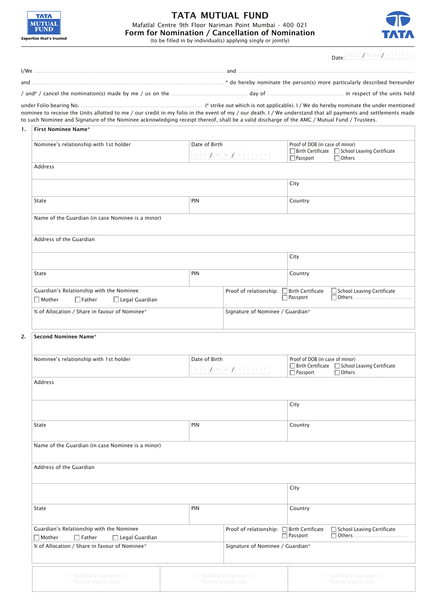

## **TATA MUTUAL FUND** Mafatlal Centre 9th Floor Nariman Point Mumbai - 400 021<br>Form for Nomination / Cancellation of Nomination<br>(to be filled in by individual(s) applying singly or jointly)



**IDJD***WMWZYYYYI* 

|    |                                                                                                                                                                                                                                                                                                              |               |                                                 | Date:<br>$\sim$ $\sim$ $\sim$ $\sim$ $\sim$ $\sim$ $\sim$                                 |  |  |
|----|--------------------------------------------------------------------------------------------------------------------------------------------------------------------------------------------------------------------------------------------------------------------------------------------------------------|---------------|-------------------------------------------------|-------------------------------------------------------------------------------------------|--|--|
|    |                                                                                                                                                                                                                                                                                                              |               |                                                 |                                                                                           |  |  |
|    |                                                                                                                                                                                                                                                                                                              |               |                                                 |                                                                                           |  |  |
|    | / and <sup>#</sup> / cancel the nomination(s) made by me / us on the manumanon manumanon day of manumanon manumanon in respect of the units held                                                                                                                                                             |               |                                                 |                                                                                           |  |  |
|    | nominee to receive the Units allotted to me / our credit in my folio in the event of my / our death. I / We understand that all payments and settlements made<br>to such Nominee and Signature of the Nominee acknowledging receipt thereof, shall be a valid discharge of the AMC / Mutual Fund / Trustees. |               |                                                 |                                                                                           |  |  |
| 1. | <b>First Nominee Name*</b>                                                                                                                                                                                                                                                                                   |               |                                                 |                                                                                           |  |  |
|    | Nominee's relationship with 1st holder                                                                                                                                                                                                                                                                       | Date of Birth |                                                 | Proof of DOB (in case of minor)                                                           |  |  |
|    |                                                                                                                                                                                                                                                                                                              |               | $ D D Z W W Z Y Y Y Y $                         | <b>Birth Certificate D</b> School Leaving Certificate<br>$\Box$ Others<br>$\Box$ Passport |  |  |
|    | Address                                                                                                                                                                                                                                                                                                      |               |                                                 |                                                                                           |  |  |
|    |                                                                                                                                                                                                                                                                                                              |               |                                                 | City                                                                                      |  |  |
|    |                                                                                                                                                                                                                                                                                                              |               |                                                 |                                                                                           |  |  |
|    | State                                                                                                                                                                                                                                                                                                        | PIN           |                                                 | Country                                                                                   |  |  |
|    | Name of the Guardian (in case Nominee is a minor)                                                                                                                                                                                                                                                            |               |                                                 |                                                                                           |  |  |
|    | Address of the Guardian                                                                                                                                                                                                                                                                                      |               |                                                 |                                                                                           |  |  |
|    |                                                                                                                                                                                                                                                                                                              |               |                                                 |                                                                                           |  |  |
|    |                                                                                                                                                                                                                                                                                                              |               |                                                 | City                                                                                      |  |  |
|    | State                                                                                                                                                                                                                                                                                                        | PIN           |                                                 | Country                                                                                   |  |  |
|    | Guardian's Relationship with the Nominee<br>$\Box$ Mother<br>$\Box$ Father<br>$\Box$ Legal Guardian                                                                                                                                                                                                          |               | Proof of relationship: □ Birth Certificate      | School Leaving Certificate<br>$\Box$ Passport                                             |  |  |
|    | % of Allocation / Share in favour of Nominee*                                                                                                                                                                                                                                                                |               | Signature of Nominee / Guardian*                |                                                                                           |  |  |
| 2. | <b>Second Nominee Name*</b>                                                                                                                                                                                                                                                                                  |               |                                                 |                                                                                           |  |  |
|    | Nominee's relationship with 1st holder                                                                                                                                                                                                                                                                       | Date of Birth |                                                 | Proof of DOB (in case of minor)                                                           |  |  |
|    |                                                                                                                                                                                                                                                                                                              |               | $D D D X M M Z Y Y Y Y$                         | □ Birth Certificate □ School Leaving Certificate<br>$\Box$ Passport<br>$\Box$ Others      |  |  |
|    | Address                                                                                                                                                                                                                                                                                                      |               |                                                 |                                                                                           |  |  |
|    |                                                                                                                                                                                                                                                                                                              |               |                                                 | City                                                                                      |  |  |
|    | State                                                                                                                                                                                                                                                                                                        | PIN           |                                                 | Country                                                                                   |  |  |
|    | Name of the Guardian (in case Nominee is a minor)                                                                                                                                                                                                                                                            |               |                                                 |                                                                                           |  |  |
|    | Address of the Guardian                                                                                                                                                                                                                                                                                      |               |                                                 |                                                                                           |  |  |
|    |                                                                                                                                                                                                                                                                                                              |               |                                                 |                                                                                           |  |  |
|    |                                                                                                                                                                                                                                                                                                              |               |                                                 | City                                                                                      |  |  |
|    | State                                                                                                                                                                                                                                                                                                        | PIN           |                                                 | Country                                                                                   |  |  |
|    | Guardian's Relationship with the Nominee<br>$\Box$ Mother<br>$\Box$ Father<br>$\Box$ Legal Guardian                                                                                                                                                                                                          |               | Proof of relationship: $\Box$ Birth Certificate | School Leaving Certificate<br>$\Box$ Passport                                             |  |  |
|    | % of Allocation / Share in favour of Nominee*                                                                                                                                                                                                                                                                |               | Signature of Nominee / Guardian*                |                                                                                           |  |  |
|    |                                                                                                                                                                                                                                                                                                              |               |                                                 |                                                                                           |  |  |